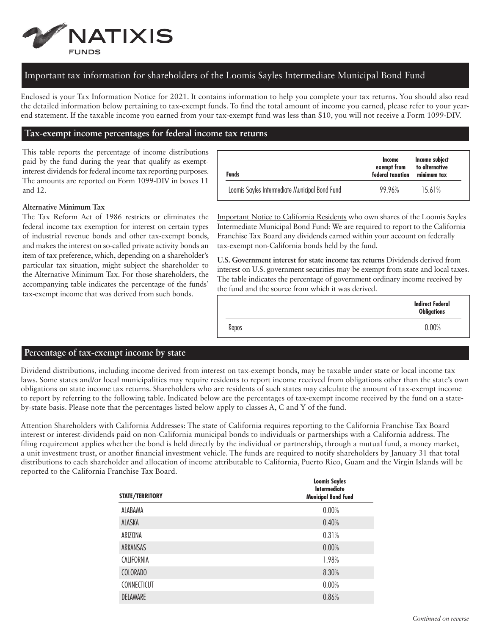

## Important tax information for shareholders of the Loomis Sayles Intermediate Municipal Bond Fund

Enclosed is your Tax Information Notice for 2021. It contains information to help you complete your tax returns. You should also read the detailed information below pertaining to tax-exempt funds. To find the total amount of income you earned, please refer to your yearend statement. If the taxable income you earned from your tax-exempt fund was less than \$10, you will not receive a Form 1099-DIV.

## **Tax-exempt income percentages for federal income tax returns**

This table reports the percentage of income distributions paid by the fund during the year that qualify as exemptinterest dividends for federal income tax reporting purposes. The amounts are reported on Form 1099-DIV in boxes 11 and 12.

| <b>Funds</b>                                   | Income<br>exempt from<br>federal taxation | Income subject<br>to alternative<br>minimum tax |
|------------------------------------------------|-------------------------------------------|-------------------------------------------------|
| Loomis Sayles Intermediate Municipal Bond Fund | 99 96%                                    | 15.61%                                          |

## **Alternative Minimum Tax**

The Tax Reform Act of 1986 restricts or eliminates the federal income tax exemption for interest on certain types of industrial revenue bonds and other tax-exempt bonds, and makes the interest on so-called private activity bonds an item of tax preference, which, depending on a shareholder's particular tax situation, might subject the shareholder to the Alternative Minimum Tax. For those shareholders, the accompanying table indicates the percentage of the funds' tax-exempt income that was derived from such bonds.

Important Notice to California Residents who own shares of the Loomis Sayles Intermediate Municipal Bond Fund: We are required to report to the California Franchise Tax Board any dividends earned within your account on federally tax-exempt non-California bonds held by the fund.

**U.S. Government interest for state income tax returns** Dividends derived from interest on U.S. government securities may be exempt from state and local taxes. The table indicates the percentage of government ordinary income received by the fund and the source from which it was derived.

|       | <b>Indirect Federal</b><br><b>Obligations</b> |
|-------|-----------------------------------------------|
| Repos | 0.00%                                         |

## **Percentage of tax-exempt income by state**

Dividend distributions, including income derived from interest on tax-exempt bonds, may be taxable under state or local income tax laws. Some states and/or local municipalities may require residents to report income received from obligations other than the state's own obligations on state income tax returns. Shareholders who are residents of such states may calculate the amount of tax-exempt income to report by referring to the following table. Indicated below are the percentages of tax-exempt income received by the fund on a stateby-state basis. Please note that the percentages listed below apply to classes A, C and Y of the fund.

Attention Shareholders with California Addresses: The state of California requires reporting to the California Franchise Tax Board interest or interest-dividends paid on non-California municipal bonds to individuals or partnerships with a California address. The filing requirement applies whether the bond is held directly by the individual or partnership, through a mutual fund, a money market, a unit investment trust, or another financial investment vehicle. The funds are required to notify shareholders by January 31 that total distributions to each shareholder and allocation of income attributable to California, Puerto Rico, Guam and the Virgin Islands will be reported to the California Franchise Tax Board.

| STATE/TERRITORY | <b>Loomis Sayles</b><br><b>Intermediate</b><br><b>Municipal Bond Fund</b> |
|-----------------|---------------------------------------------------------------------------|
| ALABAMA         | 0.00%                                                                     |
| ALASKA          | 0.40%                                                                     |
| ARIZONA         | 0.31%                                                                     |
| ARKANSAS        | 0.00%                                                                     |
| CALIFORNIA      | 1.98%                                                                     |
| <b>COLORADO</b> | 8.30%                                                                     |
| CONNECTICUT     | 0.00%                                                                     |
| DELAWARE        | 0.86%                                                                     |